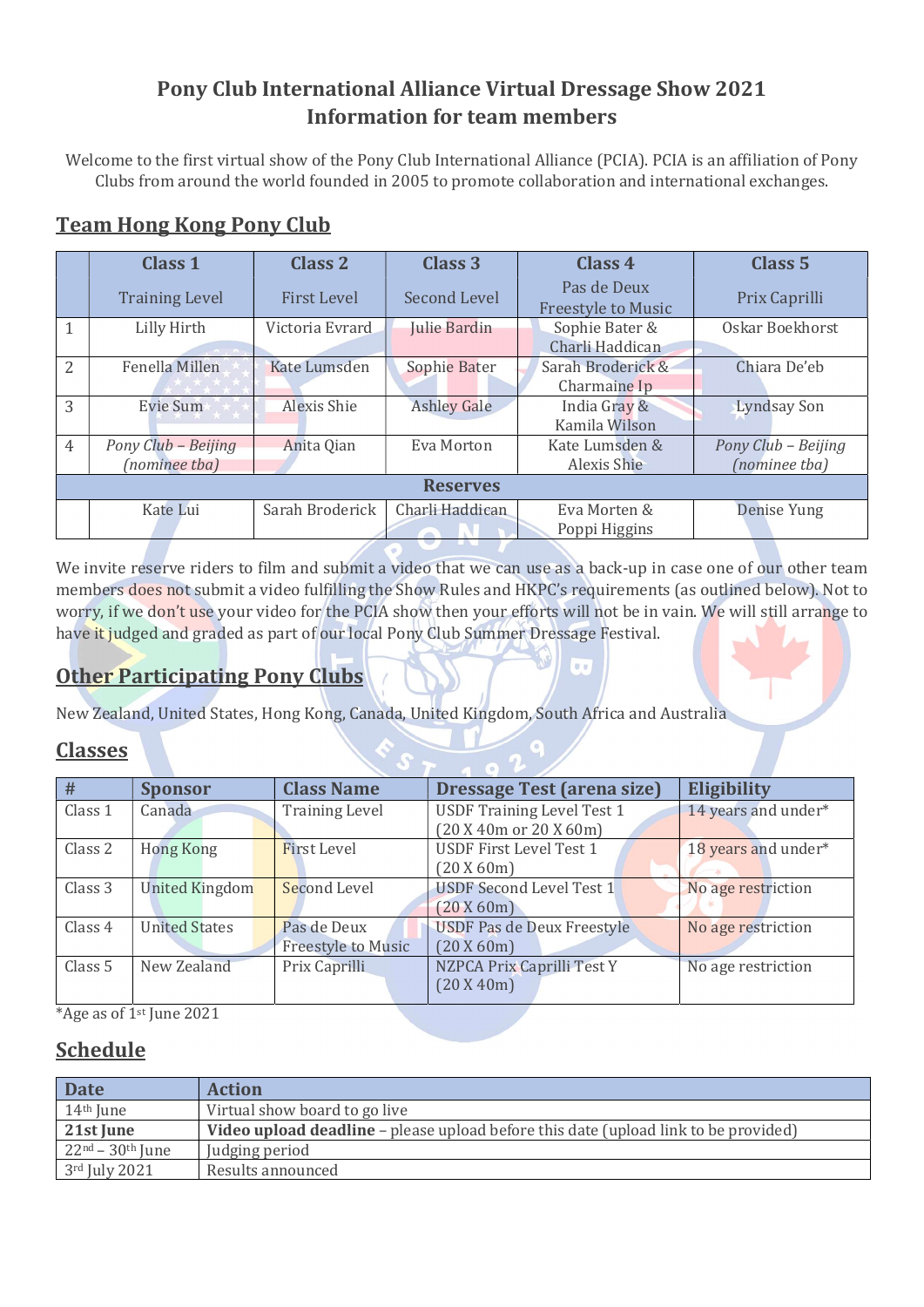## Pony Club International Alliance Virtual Dressage Show 2021 Information for team members

Welcome to the first virtual show of the Pony Club International Alliance (PCIA). PCIA is an affiliation of Pony Clubs from around the world founded in 2005 to promote collaboration and international exchanges.

# Team Hong Kong Pony Club

|                | <b>Class 1</b>                       | Class 2            | <b>Class 3</b>      | Class 4                                  | Class <sub>5</sub>                   |  |  |  |  |  |  |
|----------------|--------------------------------------|--------------------|---------------------|------------------------------------------|--------------------------------------|--|--|--|--|--|--|
|                | <b>Training Level</b>                | <b>First Level</b> | <b>Second Level</b> | Pas de Deux<br><b>Freestyle to Music</b> | Prix Caprilli                        |  |  |  |  |  |  |
|                | Lilly Hirth                          | Victoria Evrard    | Julie Bardin        | Sophie Bater &<br>Charli Haddican        | Oskar Boekhorst                      |  |  |  |  |  |  |
| $\overline{2}$ | Fenella Millen                       | Kate Lumsden       | Sophie Bater        | Sarah Broderick &<br>Charmaine Ip        | Chiara De'eb                         |  |  |  |  |  |  |
| 3              | Evie Sum                             | Alexis Shie        | <b>Ashley Gale</b>  | India Gray &<br>Kamila Wilson            | <b>Lyndsay Son</b>                   |  |  |  |  |  |  |
| $\overline{4}$ | Pony Club - Beijing<br>(nominee tba) | Anita Qian         | Eva Morton          | Kate Lumsden &<br>Alexis Shie            | Pony Club - Beijing<br>(nominee tba) |  |  |  |  |  |  |
|                | <b>Reserves</b>                      |                    |                     |                                          |                                      |  |  |  |  |  |  |
|                | Kate Lui                             | Sarah Broderick    | Charli Haddican     | Eva Morten &<br>Poppi Higgins            | Denise Yung                          |  |  |  |  |  |  |

We invite reserve riders to film and submit a video that we can use as a back-up in case one of our other team members does not submit a video fulfilling the Show Rules and HKPC's requirements (as outlined below). Not to worry, if we don't use your video for the PCIA show then your efforts will not be in vain. We will still arrange to have it judged and graded as part of our local Pony Club Summer Dressage Festival.

 $\mathbf{r}$ 

# Other Participating Pony Clubs

New Zealand, United States, Hong Kong, Canada, United Kingdom, South Africa and Australia

### Classes

| #                                                                     | <b>Sponsor</b>                        | <b>Class Name</b>                                | <b>Dressage Test (arena size)</b> | Eligibility        |
|-----------------------------------------------------------------------|---------------------------------------|--------------------------------------------------|-----------------------------------|--------------------|
| Canada<br>Class 1<br><b>Training Level</b>                            |                                       | <b>USDF Training Level Test 1</b>                | 14 years and under*               |                    |
|                                                                       |                                       |                                                  | (20 X 40m or 20 X 60m)            |                    |
| Class 2<br><b>First Level</b><br><b>Hong Kong</b>                     |                                       | <b>USDF First Level Test 1</b>                   | 18 years and under*               |                    |
|                                                                       |                                       |                                                  | (20 X 60m)                        |                    |
| Class 3                                                               | <b>United Kingdom</b><br>Second Level |                                                  | USDF Second Level Test 1          | No age restriction |
|                                                                       |                                       |                                                  | (20 X 60m)                        |                    |
| Class 4                                                               | <b>United States</b>                  | <b>USDF Pas de Deux Freestyle</b><br>Pas de Deux |                                   | No age restriction |
|                                                                       |                                       | <b>Freestyle to Music</b>                        | (20 X 60m)                        |                    |
| NZPCA Prix Caprilli Test Y<br>Class 5<br>New Zealand<br>Prix Caprilli |                                       |                                                  | No age restriction                |                    |
|                                                                       |                                       |                                                  | (20 X 40m)                        |                    |
|                                                                       |                                       |                                                  |                                   |                    |

\*Age as of  $1<sup>st</sup>$  June 2021

### Schedule

| <b>Date</b>           | <b>Action</b>                                                                              |
|-----------------------|--------------------------------------------------------------------------------------------|
| 14 <sup>th</sup> June | Virtual show board to go live                                                              |
| 21st June             | <b>Video upload deadline</b> – please upload before this date (upload link to be provided) |
| $22nd - 30th$ June    | Judging period                                                                             |
| 3rd July 2021         | Results announced                                                                          |